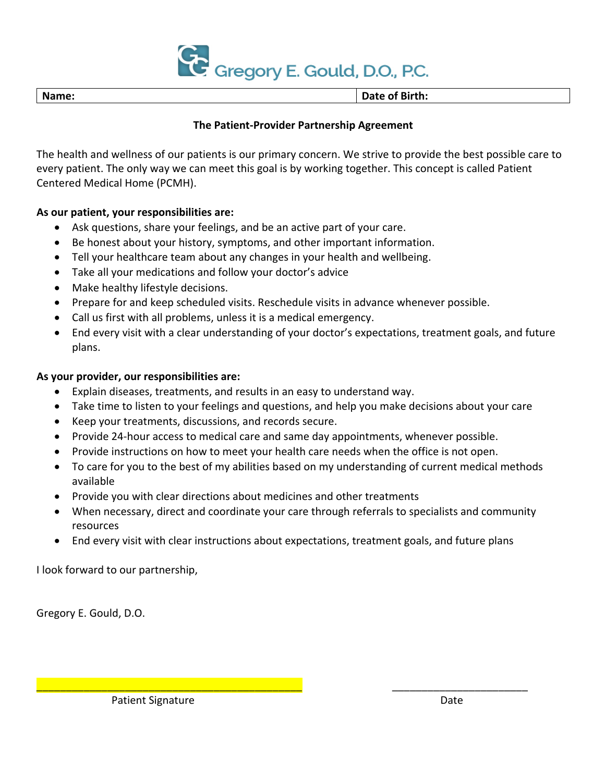

**Name: Date of Birth:**

# **The Patient-Provider Partnership Agreement**

The health and wellness of our patients is our primary concern. We strive to provide the best possible care to every patient. The only way we can meet this goal is by working together. This concept is called Patient Centered Medical Home (PCMH).

# **As our patient, your responsibilities are:**

- Ask questions, share your feelings, and be an active part of your care.
- Be honest about your history, symptoms, and other important information.
- Tell your healthcare team about any changes in your health and wellbeing.
- Take all your medications and follow your doctor's advice
- Make healthy lifestyle decisions.
- Prepare for and keep scheduled visits. Reschedule visits in advance whenever possible.
- Call us first with all problems, unless it is a medical emergency.
- End every visit with a clear understanding of your doctor's expectations, treatment goals, and future plans.

## **As your provider, our responsibilities are:**

- Explain diseases, treatments, and results in an easy to understand way.
- Take time to listen to your feelings and questions, and help you make decisions about your care
- Keep your treatments, discussions, and records secure.
- Provide 24-hour access to medical care and same day appointments, whenever possible.
- Provide instructions on how to meet your health care needs when the office is not open.
- To care for you to the best of my abilities based on my understanding of current medical methods available
- Provide you with clear directions about medicines and other treatments
- When necessary, direct and coordinate your care through referrals to specialists and community resources
- End every visit with clear instructions about expectations, treatment goals, and future plans

\_\_\_\_\_\_\_\_\_\_\_\_\_\_\_\_\_\_\_\_\_\_\_\_\_\_\_\_\_\_\_\_\_\_\_\_\_\_\_\_\_\_\_\_\_ \_\_\_\_\_\_\_\_\_\_\_\_\_\_\_\_\_\_\_\_\_\_\_

I look forward to our partnership,

Gregory E. Gould, D.O.

Patient Signature Date Date Date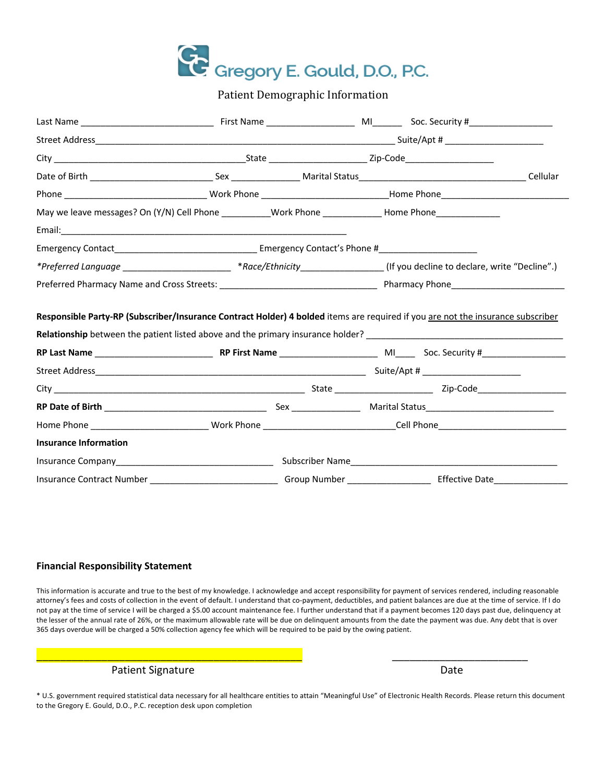

Patient Demographic Information

| May we leave messages? On (Y/N) Cell Phone ___________Work Phone _______________Home Phone_______________ |                                                                                                                               |              |                                                                                                                                                                                                                                |  |
|-----------------------------------------------------------------------------------------------------------|-------------------------------------------------------------------------------------------------------------------------------|--------------|--------------------------------------------------------------------------------------------------------------------------------------------------------------------------------------------------------------------------------|--|
|                                                                                                           |                                                                                                                               |              |                                                                                                                                                                                                                                |  |
|                                                                                                           |                                                                                                                               |              |                                                                                                                                                                                                                                |  |
|                                                                                                           | *Preferred Language ___________________________ *Race/Ethnicity_________________(If you decline to declare, write "Decline".) |              |                                                                                                                                                                                                                                |  |
|                                                                                                           |                                                                                                                               |              |                                                                                                                                                                                                                                |  |
| <b>Relationship</b> between the patient listed above and the primary insurance holder?                    |                                                                                                                               |              |                                                                                                                                                                                                                                |  |
|                                                                                                           |                                                                                                                               |              |                                                                                                                                                                                                                                |  |
|                                                                                                           |                                                                                                                               |              |                                                                                                                                                                                                                                |  |
|                                                                                                           |                                                                                                                               |              |                                                                                                                                                                                                                                |  |
|                                                                                                           |                                                                                                                               |              |                                                                                                                                                                                                                                |  |
|                                                                                                           |                                                                                                                               |              |                                                                                                                                                                                                                                |  |
| <b>Insurance Information</b>                                                                              |                                                                                                                               |              |                                                                                                                                                                                                                                |  |
|                                                                                                           |                                                                                                                               |              | Subscriber Name and the state of the state of the state of the state of the state of the state of the state of the state of the state of the state of the state of the state of the state of the state of the state of the sta |  |
| Insurance Contract Number                                                                                 |                                                                                                                               | Group Number | <b>Effective Date</b>                                                                                                                                                                                                          |  |

#### **Financial Responsibility Statement**

This information is accurate and true to the best of my knowledge. I acknowledge and accept responsibility for payment of services rendered, including reasonable attorney's fees and costs of collection in the event of default. I understand that co-payment, deductibles, and patient balances are due at the time of service. If I do not pay at the time of service I will be charged a \$5.00 account maintenance fee. I further understand that if a payment becomes 120 days past due, delinquency at the lesser of the annual rate of 26%, or the maximum allowable rate will be due on delinquent amounts from the date the payment was due. Any debt that is over 365 days overdue will be charged a 50% collection agency fee which will be required to be paid by the owing patient.

\_\_\_\_\_\_\_\_\_\_\_\_\_\_\_\_\_\_\_\_\_\_\_\_\_\_\_\_\_\_\_\_\_\_\_\_\_\_\_\_\_\_\_\_\_ \_\_\_\_\_\_\_\_\_\_\_\_\_\_\_\_\_\_\_\_\_\_\_

## Patient Signature Date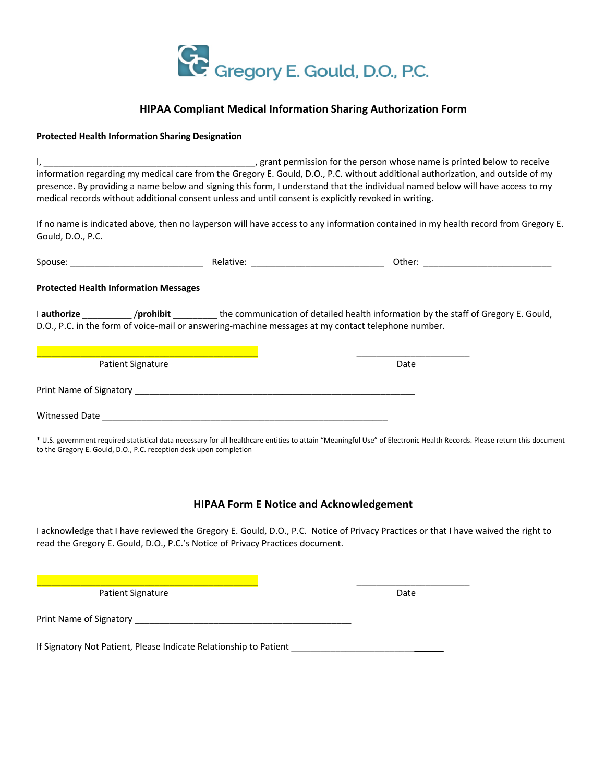

### **HIPAA Compliant Medical Information Sharing Authorization Form**

### **Protected Health Information Sharing Designation**

I, \_\_\_\_\_\_\_\_\_\_\_\_\_\_\_\_\_\_\_\_\_\_\_\_\_\_\_\_\_\_\_\_\_\_\_\_\_\_\_\_\_\_\_, grant permission for the person whose name is printed below to receive information regarding my medical care from the Gregory E. Gould, D.O., P.C. without additional authorization, and outside of my presence. By providing a name below and signing this form, I understand that the individual named below will have access to my medical records without additional consent unless and until consent is explicitly revoked in writing.

If no name is indicated above, then no layperson will have access to any information contained in my health record from Gregory E. Gould, D.O., P.C.

| Spouse:                                      | Relative: | Other: |
|----------------------------------------------|-----------|--------|
| <b>Protected Health Information Messages</b> |           |        |

I **authorize** \_\_\_\_\_\_\_\_\_\_ /**prohibit** \_\_\_\_\_\_\_\_\_ the communication of detailed health information by the staff of Gregory E. Gould, D.O., P.C. in the form of voice-mail or answering-machine messages at my contact telephone number.

| <b>Patient Signature</b> | Date |
|--------------------------|------|
| Print Name of Signatory  |      |
| Witnessed Date           |      |

\* U.S. government required statistical data necessary for all healthcare entities to attain "Meaningful Use" of Electronic Health Records. Please return this document to the Gregory E. Gould, D.O., P.C. reception desk upon completion

## **HIPAA Form E Notice and Acknowledgement**

I acknowledge that I have reviewed the Gregory E. Gould, D.O., P.C. Notice of Privacy Practices or that I have waived the right to read the Gregory E. Gould, D.O., P.C.'s Notice of Privacy Practices document.

Patient Signature Date

\_\_\_\_\_\_\_\_\_\_\_\_\_\_\_\_\_\_\_\_\_\_\_\_\_\_\_\_\_\_\_\_\_\_\_\_\_\_\_\_\_\_\_\_\_ \_\_\_\_\_\_\_\_\_\_\_\_\_\_\_\_\_\_\_\_\_\_\_

Print Name of Signatory **Example 20** and the set of Signatory

If Signatory Not Patient, Please Indicate Relationship to Patient \_\_\_\_\_\_\_\_\_\_\_\_\_\_\_\_\_\_\_\_\_\_\_\_\_\_\_\_\_\_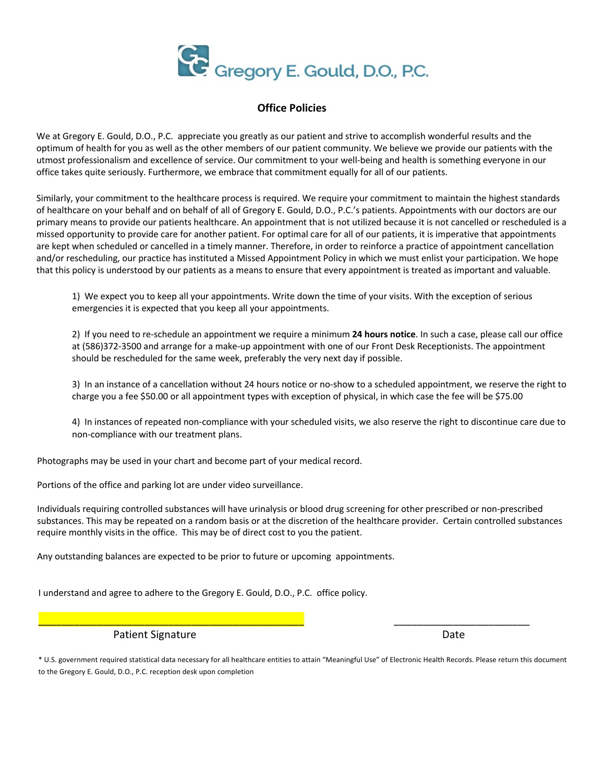

### **Office Policies**

We at Gregory E. Gould, D.O., P.C. appreciate you greatly as our patient and strive to accomplish wonderful results and the optimum of health for you as well as the other members of our patient community. We believe we provide our patients with the utmost professionalism and excellence of service. Our commitment to your well-being and health is something everyone in our office takes quite seriously. Furthermore, we embrace that commitment equally for all of our patients.

Similarly, your commitment to the healthcare process is required. We require your commitment to maintain the highest standards of healthcare on your behalf and on behalf of all of Gregory E. Gould, D.O., P.C.'s patients. Appointments with our doctors are our primary means to provide our patients healthcare. An appointment that is not utilized because it is not cancelled or rescheduled is a missed opportunity to provide care for another patient. For optimal care for all of our patients, it is imperative that appointments are kept when scheduled or cancelled in a timely manner. Therefore, in order to reinforce a practice of appointment cancellation and/or rescheduling, our practice has instituted a Missed Appointment Policy in which we must enlist your participation. We hope that this policy is understood by our patients as a means to ensure that every appointment is treated as important and valuable.

1) We expect you to keep all your appointments. Write down the time of your visits. With the exception of serious emergencies it is expected that you keep all your appointments.

2) If you need to re-schedule an appointment we require a minimum **24 hours notice**. In such a case, please call our office at (586)372-3500 and arrange for a make-up appointment with one of our Front Desk Receptionists. The appointment should be rescheduled for the same week, preferably the very next day if possible.

3) In an instance of a cancellation without 24 hours notice or no-show to a scheduled appointment, we reserve the right to charge you a fee \$50.00 or all appointment types with exception of physical, in which case the fee will be \$75.00

4) In instances of repeated non-compliance with your scheduled visits, we also reserve the right to discontinue care due to non-compliance with our treatment plans.

Photographs may be used in your chart and become part of your medical record.

Portions of the office and parking lot are under video surveillance.

Individuals requiring controlled substances will have urinalysis or blood drug screening for other prescribed or non-prescribed substances. This may be repeated on a random basis or at the discretion of the healthcare provider. Certain controlled substances require monthly visits in the office. This may be of direct cost to you the patient.

Any outstanding balances are expected to be prior to future or upcoming appointments.

I understand and agree to adhere to the Gregory E. Gould, D.O., P.C. office policy.

Patient Signature Date Date

\* U.S. government required statistical data necessary for all healthcare entities to attain "Meaningful Use" of Electronic Health Records. Please return this document to the Gregory E. Gould, D.O., P.C. reception desk upon completion

\_\_\_\_\_\_\_\_\_\_\_\_\_\_\_\_\_\_\_\_\_\_\_\_\_\_\_\_\_\_\_\_\_\_\_\_\_\_\_\_\_\_\_\_\_ \_\_\_\_\_\_\_\_\_\_\_\_\_\_\_\_\_\_\_\_\_\_\_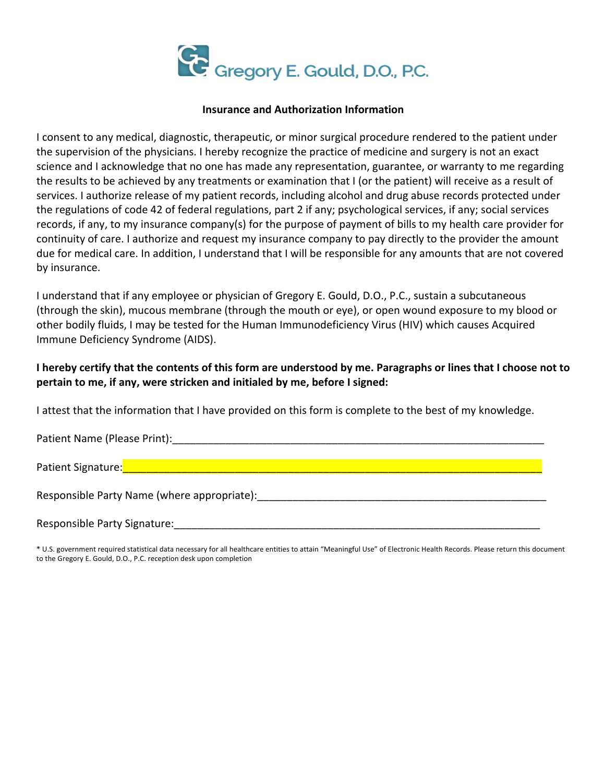

### **Insurance and Authorization Information**

I consent to any medical, diagnostic, therapeutic, or minor surgical procedure rendered to the patient under the supervision of the physicians. I hereby recognize the practice of medicine and surgery is not an exact science and I acknowledge that no one has made any representation, guarantee, or warranty to me regarding the results to be achieved by any treatments or examination that I (or the patient) will receive as a result of services. I authorize release of my patient records, including alcohol and drug abuse records protected under the regulations of code 42 of federal regulations, part 2 if any; psychological services, if any; social services records, if any, to my insurance company(s) for the purpose of payment of bills to my health care provider for continuity of care. I authorize and request my insurance company to pay directly to the provider the amount due for medical care. In addition, I understand that I will be responsible for any amounts that are not covered by insurance.

I understand that if any employee or physician of Gregory E. Gould, D.O., P.C., sustain a subcutaneous (through the skin), mucous membrane (through the mouth or eye), or open wound exposure to my blood or other bodily fluids, I may be tested for the Human Immunodeficiency Virus (HIV) which causes Acquired Immune Deficiency Syndrome (AIDS).

# **I hereby certify that the contents of this form are understood by me. Paragraphs or lines that I choose not to pertain to me, if any, were stricken and initialed by me, before I signed:**

I attest that the information that I have provided on this form is complete to the best of my knowledge.

Patient Name (Please Print):\_\_\_\_\_\_\_\_\_\_\_\_\_\_\_\_\_\_\_\_\_\_\_\_\_\_\_\_\_\_\_\_\_\_\_\_\_\_\_\_\_\_\_\_\_\_\_\_\_\_\_\_\_\_\_\_\_\_\_\_\_\_\_

Patient Signature:\_\_\_\_\_\_\_\_\_\_\_\_\_\_\_\_\_\_\_\_\_\_\_\_\_\_\_\_\_\_\_\_\_\_\_\_\_\_\_\_\_\_\_\_\_\_\_\_\_\_\_\_\_\_\_\_\_\_\_\_\_\_\_\_\_\_\_\_\_\_\_

Responsible Party Name (where appropriate):\_\_\_\_\_\_\_\_\_\_\_\_\_\_\_\_\_\_\_\_\_\_\_\_\_\_\_\_\_\_\_\_\_\_\_\_\_\_\_\_\_\_\_\_\_\_\_\_\_

Responsible Party Signature:\_\_\_\_\_\_\_\_\_\_\_\_\_\_\_\_\_\_\_\_\_\_\_\_\_\_\_\_\_\_\_\_\_\_\_\_\_\_\_\_\_\_\_\_\_\_\_\_\_\_\_\_\_\_\_\_\_\_\_\_\_\_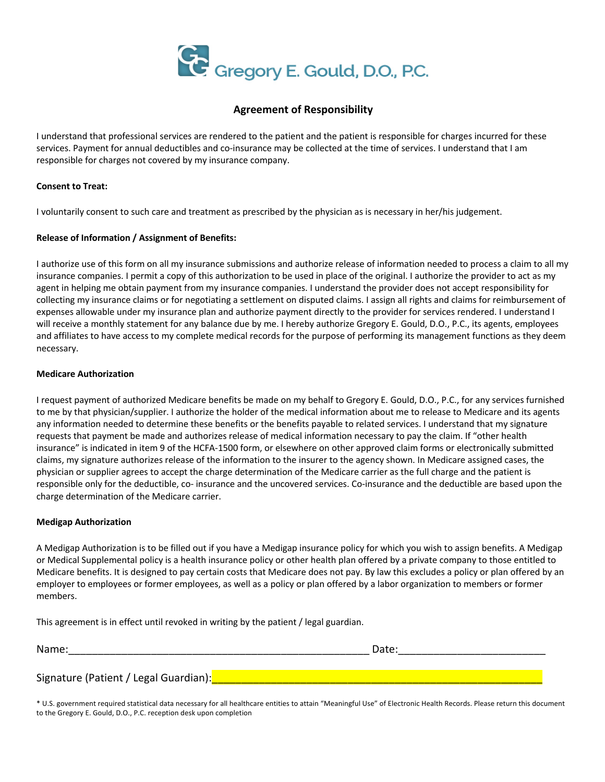

### **Agreement of Responsibility**

I understand that professional services are rendered to the patient and the patient is responsible for charges incurred for these services. Payment for annual deductibles and co-insurance may be collected at the time of services. I understand that I am responsible for charges not covered by my insurance company.

#### **Consent to Treat:**

I voluntarily consent to such care and treatment as prescribed by the physician as is necessary in her/his judgement.

### **Release of Information / Assignment of Benefits:**

I authorize use of this form on all my insurance submissions and authorize release of information needed to process a claim to all my insurance companies. I permit a copy of this authorization to be used in place of the original. I authorize the provider to act as my agent in helping me obtain payment from my insurance companies. I understand the provider does not accept responsibility for collecting my insurance claims or for negotiating a settlement on disputed claims. I assign all rights and claims for reimbursement of expenses allowable under my insurance plan and authorize payment directly to the provider for services rendered. I understand I will receive a monthly statement for any balance due by me. I hereby authorize Gregory E. Gould, D.O., P.C., its agents, employees and affiliates to have access to my complete medical records for the purpose of performing its management functions as they deem necessary.

### **Medicare Authorization**

I request payment of authorized Medicare benefits be made on my behalf to Gregory E. Gould, D.O., P.C., for any services furnished to me by that physician/supplier. I authorize the holder of the medical information about me to release to Medicare and its agents any information needed to determine these benefits or the benefits payable to related services. I understand that my signature requests that payment be made and authorizes release of medical information necessary to pay the claim. If "other health insurance" is indicated in item 9 of the HCFA-1500 form, or elsewhere on other approved claim forms or electronically submitted claims, my signature authorizes release of the information to the insurer to the agency shown. In Medicare assigned cases, the physician or supplier agrees to accept the charge determination of the Medicare carrier as the full charge and the patient is responsible only for the deductible, co- insurance and the uncovered services. Co-insurance and the deductible are based upon the charge determination of the Medicare carrier.

### **Medigap Authorization**

A Medigap Authorization is to be filled out if you have a Medigap insurance policy for which you wish to assign benefits. A Medigap or Medical Supplemental policy is a health insurance policy or other health plan offered by a private company to those entitled to Medicare benefits. It is designed to pay certain costs that Medicare does not pay. By law this excludes a policy or plan offered by an employer to employees or former employees, as well as a policy or plan offered by a labor organization to members or former members.

This agreement is in effect until revoked in writing by the patient / legal guardian.

| Name:                                 | Date: |  |
|---------------------------------------|-------|--|
|                                       |       |  |
| Signature (Patient / Legal Guardian): |       |  |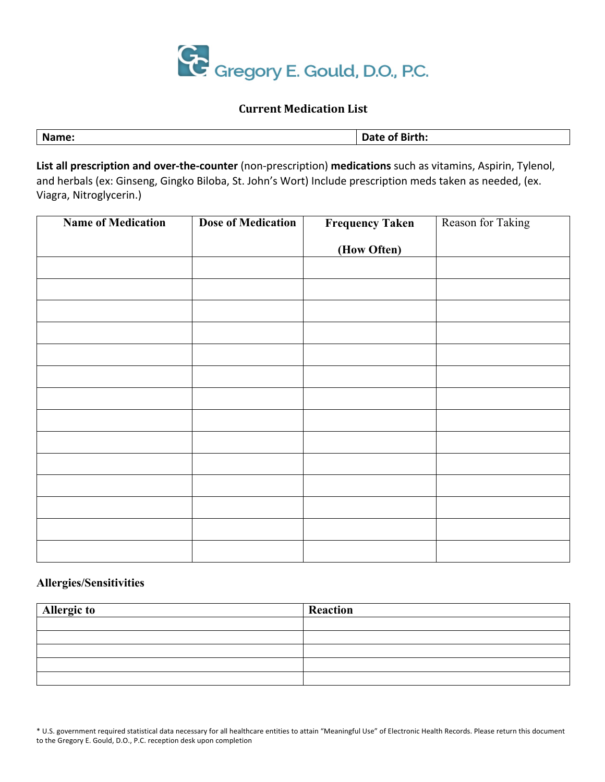

## **Current Medication List**

| Name:  | of Birth:<br>Date |
|--------|-------------------|
| ______ |                   |

**List all prescription and over-the-counter** (non-prescription) **medications** such as vitamins, Aspirin, Tylenol, and herbals (ex: Ginseng, Gingko Biloba, St. John's Wort) Include prescription meds taken as needed, (ex. Viagra, Nitroglycerin.)

| <b>Name of Medication</b> | <b>Dose of Medication</b> | <b>Frequency Taken</b> | Reason for Taking |
|---------------------------|---------------------------|------------------------|-------------------|
|                           |                           | (How Often)            |                   |
|                           |                           |                        |                   |
|                           |                           |                        |                   |
|                           |                           |                        |                   |
|                           |                           |                        |                   |
|                           |                           |                        |                   |
|                           |                           |                        |                   |
|                           |                           |                        |                   |
|                           |                           |                        |                   |
|                           |                           |                        |                   |
|                           |                           |                        |                   |
|                           |                           |                        |                   |
|                           |                           |                        |                   |
|                           |                           |                        |                   |
|                           |                           |                        |                   |

# **Allergies/Sensitivities**

| <b>Allergic to</b> | Reaction |
|--------------------|----------|
|                    |          |
|                    |          |
|                    |          |
|                    |          |
|                    |          |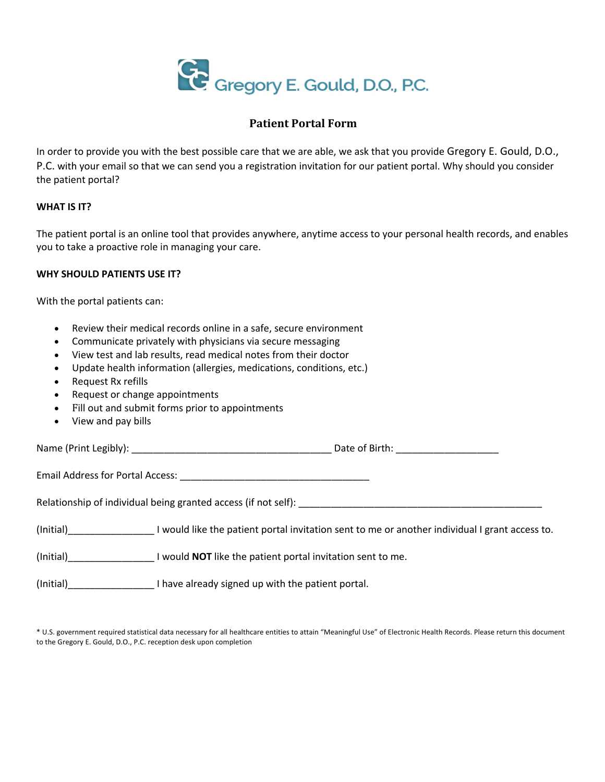

## **Patient Portal Form**

In order to provide you with the best possible care that we are able, we ask that you provide Gregory E. Gould, D.O., P.C. with your email so that we can send you a registration invitation for our patient portal. Why should you consider the patient portal?

## **WHAT IS IT?**

The patient portal is an online tool that provides anywhere, anytime access to your personal health records, and enables you to take a proactive role in managing your care.

## **WHY SHOULD PATIENTS USE IT?**

With the portal patients can:

- Review their medical records online in a safe, secure environment
- Communicate privately with physicians via secure messaging
- View test and lab results, read medical notes from their doctor
- Update health information (allergies, medications, conditions, etc.)
- Request Rx refills
- Request or change appointments
- Fill out and submit forms prior to appointments
- View and pay bills

Name (Print Legibly): \_\_\_\_\_\_\_\_\_\_\_\_\_\_\_\_\_\_\_\_\_\_\_\_\_\_\_\_\_\_\_\_\_\_\_\_\_ Date of Birth: \_\_\_\_\_\_\_\_\_\_\_\_\_\_\_\_\_\_\_

Email Address for Portal Access: \_\_\_\_\_\_\_\_\_\_\_\_\_\_\_\_\_\_\_\_\_\_\_\_\_\_\_\_\_\_\_\_\_\_\_

Relationship of individual being granted access (if not self): \_\_\_\_\_\_\_\_\_\_\_\_\_\_\_\_\_\_\_\_\_\_\_\_\_\_\_\_\_\_\_\_\_\_\_\_\_\_\_\_\_\_\_\_\_

(Initial)\_\_\_\_\_\_\_\_\_\_\_\_\_\_\_\_ I would like the patient portal invitation sent to me or another individual I grant access to.

(Initial)\_\_\_\_\_\_\_\_\_\_\_\_\_\_\_\_ I would **NOT** like the patient portal invitation sent to me.

(Initial)\_\_\_\_\_\_\_\_\_\_\_\_\_\_\_\_ I have already signed up with the patient portal.